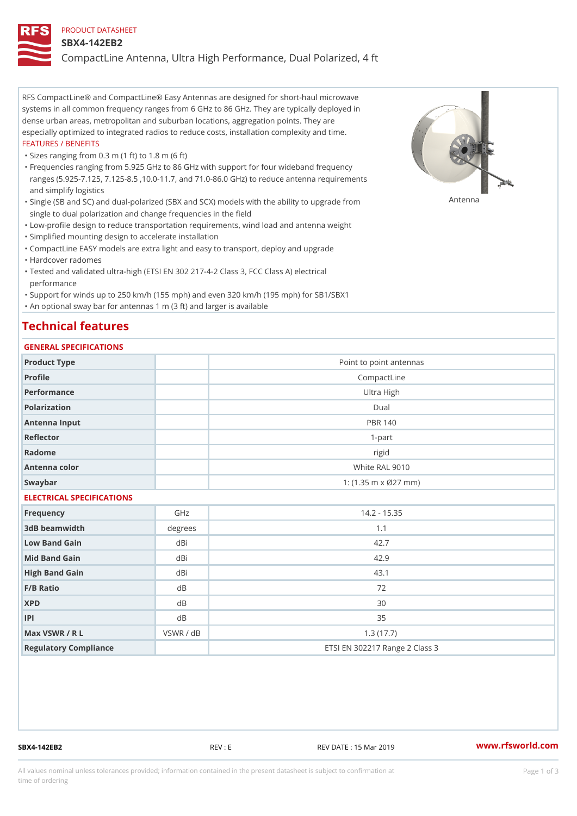#### PRODUCT DATASHEET

#### SBX4-142EB2

CompactLine Antenna, Ultra High Performance, Dual Polarized, 4 ft

RFS CompactLine® and CompactLine® Easy Antennas are designed for short-haul microwave systems in all common frequency ranges from 6 GHz to 86 GHz. They are typically deployed in dense urban areas, metropolitan and suburban locations, aggregation points. They are especially optimized to integrated radios to reduce costs, installation complexity and time. FEATURES / BENEFITS

"Sizes ranging from 0.3 m (1 ft) to 1.8 m (6 ft)

Frequencies ranging from 5.925 GHz to 86 GHz with support for four wideband frequency " ranges (5.925-7.125, 7.125-8.5 ,10.0-11.7, and 71.0-86.0 GHz) to reduce antenna requirements and simplify logistics

"Single (SB and SC) and dual-polarized (SBX and SCX) models with the abili $\mathsf{f}_\mathsf{V}^{\eta}$ ttenup $\beta$ grade from single to dual polarization and change frequencies in the field

"Low-profile design to reduce transportation requirements, wind load and antenna weight

"Simplified mounting design to accelerate installation

 "CompactLine EASY models are extra light and easy to transport, deploy and upgrade "Hardcover radomes

Tested and validated ultra-high (ETSI EN 302 217-4-2 Class 3, FCC Class A) electrical " performance

 "Support for winds up to 250 km/h (155 mph) and even 320 km/h (195 mph) for SB1/SBX1 "An optional sway bar for antennas 1 m (3 ft) and larger is available

### Technical features

### GENERAL SPECIFICATIONS

| OLIVERAL OF LOTITUATIONS  |           |                                |  |  |
|---------------------------|-----------|--------------------------------|--|--|
| Product Type              |           | Point to point antennas        |  |  |
| Profile                   |           | CompactLine                    |  |  |
| Performance               |           | Ultra High                     |  |  |
| Polarization              |           | $D$ ual                        |  |  |
| Antenna Input             |           | <b>PBR 140</b>                 |  |  |
| Reflector                 |           | $1 - p$ art                    |  |  |
| Radome                    |           | rigid                          |  |  |
| Antenna color             |           | White RAL 9010                 |  |  |
| Swaybar                   |           | 1: $(1.35 m \times 027 mm)$    |  |  |
| ELECTRICAL SPECIFICATIONS |           |                                |  |  |
| Frequency                 | GHz       | $14.2 - 15.35$                 |  |  |
| 3dB beamwidth             | degrees   | 1.1                            |  |  |
| Low Band Gain             | $dB$ i    | 42.7                           |  |  |
| Mid Band Gain             | dBi       | 42.9                           |  |  |
| High Band Gain            | dBi       | 43.1                           |  |  |
| F/B Ratio                 | d B       | 72                             |  |  |
| <b>XPD</b>                | d B       | 30                             |  |  |
| P                         | $d$ B     | 35                             |  |  |
| Max VSWR / R L            | VSWR / dB | 1.3(17.7)                      |  |  |
| Regulatory Compliance     |           | ETSI EN 302217 Range 2 Class 3 |  |  |

SBX4-142EB2 REV : E REV DATE : 15 Mar 2019 [www.](https://www.rfsworld.com)rfsworld.com

All values nominal unless tolerances provided; information contained in the present datasheet is subject to Pcapgeign mation time of ordering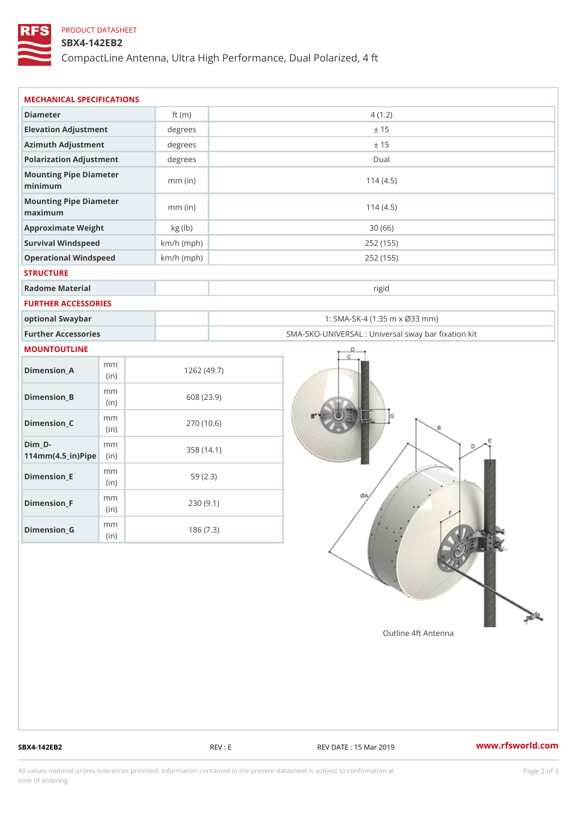## PRODUCT DATASHEET

## SBX4-142EB2

CompactLine Antenna, Ultra High Performance, Dual Polarized, 4 ft

| MECHANICAL SPECIFICATIONS                           |              |              |                                                   |
|-----------------------------------------------------|--------------|--------------|---------------------------------------------------|
| Diameter                                            |              | ft $(m)$     | 4(1.2)                                            |
| Elevation Adjustment                                |              | degrees      | ± 15                                              |
| Azimuth Adjustment                                  |              | degrees      | ± 15                                              |
| Polarization Adjustment                             |              | $degree$ :   | Dual                                              |
| Mounting Pipe Diameter<br>minimum                   |              | $mm$ (in)    | 114(4.5)                                          |
| Mounting Pipe Diameter<br>maximum                   |              | $mm$ (in)    | 114(4.5)                                          |
| Approximate Weight                                  |              | kg (lb)      | 30(66)                                            |
| Survival Windspeed                                  |              | $km/h$ (mph) | 252 (155)                                         |
| Operational Windspeed                               |              | $km/h$ (mph) | 252 (155)                                         |
| <b>STRUCTURE</b>                                    |              |              |                                                   |
| Radome Material                                     |              |              | rigid                                             |
| FURTHER ACCESSORIES                                 |              |              |                                                   |
| optional Swaybar                                    |              |              | 1: SMA-SK-4 (1.35 m x Ø33 mm)                     |
| Further Accessories                                 |              |              | SMA-SKO-UNIVERSAL : Universal sway bar fixation l |
| MOUNTOUTLINE                                        |              |              |                                                   |
| $Dimension_A$                                       | m m<br>(in)  |              | 1262(49.7)                                        |
| $Dimension_B$                                       | m m<br>(in)  |              | 608 (23.9)                                        |
| $Dimen sion_C$                                      | m m<br>(i n) |              | 270 (10.6)                                        |
| $Dim_D -$<br>$114$ m m $(4.5$ _ ir $)$ $R$ ii p $e$ | m m          |              | 358 (14.1)                                        |
| $Dimension$ = E                                     | m m<br>(i n) |              | 59(2.3)                                           |
| $Dimension_F$                                       | m m<br>(in)  |              | 230(9.1)                                          |
| $D$ imension_G                                      | m m<br>(in)  |              | 186(7.3)                                          |

SBX4-142EB2 REV : E REV : REV DATE : 15 Mar 2019 WWW.rfsworld.com

All values nominal unless tolerances provided; information contained in the present datasheet is subject to Pcapgelio an atio time of ordering